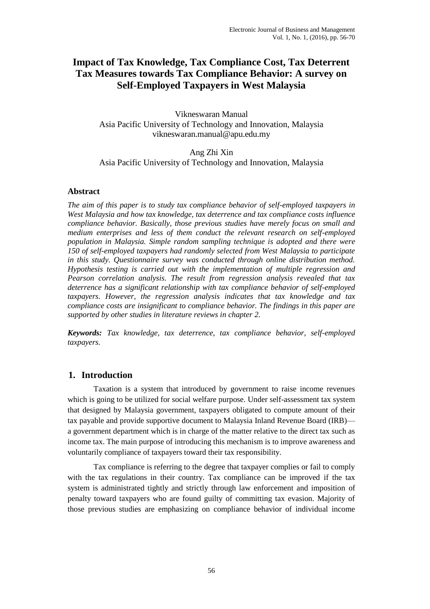# **Impact of Tax Knowledge, Tax Compliance Cost, Tax Deterrent Tax Measures towards Tax Compliance Behavior: A survey on Self-Employed Taxpayers in West Malaysia**

Vikneswaran Manual Asia Pacific University of Technology and Innovation, Malaysia vikneswaran.manual@apu.edu.my

Ang Zhi Xin Asia Pacific University of Technology and Innovation, Malaysia

#### **Abstract**

*The aim of this paper is to study tax compliance behavior of self-employed taxpayers in West Malaysia and how tax knowledge, tax deterrence and tax compliance costs influence compliance behavior. Basically, those previous studies have merely focus on small and medium enterprises and less of them conduct the relevant research on self-employed population in Malaysia. Simple random sampling technique is adopted and there were 150 of self-employed taxpayers had randomly selected from West Malaysia to participate in this study. Questionnaire survey was conducted through online distribution method. Hypothesis testing is carried out with the implementation of multiple regression and Pearson correlation analysis. The result from regression analysis revealed that tax deterrence has a significant relationship with tax compliance behavior of self-employed taxpayers. However, the regression analysis indicates that tax knowledge and tax compliance costs are insignificant to compliance behavior. The findings in this paper are supported by other studies in literature reviews in chapter 2.*

*Keywords: Tax knowledge, tax deterrence, tax compliance behavior, self-employed taxpayers.*

## **1. Introduction**

Taxation is a system that introduced by government to raise income revenues which is going to be utilized for social welfare purpose. Under self-assessment tax system that designed by Malaysia government, taxpayers obligated to compute amount of their tax payable and provide supportive document to Malaysia Inland Revenue Board (IRB) a government department which is in charge of the matter relative to the direct tax such as income tax. The main purpose of introducing this mechanism is to improve awareness and voluntarily compliance of taxpayers toward their tax responsibility.

Tax compliance is referring to the degree that taxpayer complies or fail to comply with the tax regulations in their country. Tax compliance can be improved if the tax system is administrated tightly and strictly through law enforcement and imposition of penalty toward taxpayers who are found guilty of committing tax evasion. Majority of those previous studies are emphasizing on compliance behavior of individual income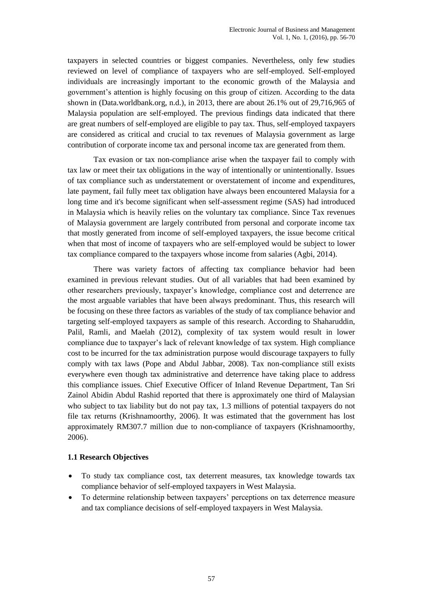taxpayers in selected countries or biggest companies. Nevertheless, only few studies reviewed on level of compliance of taxpayers who are self-employed. Self-employed individuals are increasingly important to the economic growth of the Malaysia and government's attention is highly focusing on this group of citizen. According to the data shown in (Data.worldbank.org, n.d.), in 2013, there are about 26.1% out of 29,716,965 of Malaysia population are self-employed. The previous findings data indicated that there are great numbers of self-employed are eligible to pay tax. Thus, self-employed taxpayers are considered as critical and crucial to tax revenues of Malaysia government as large contribution of corporate income tax and personal income tax are generated from them.

Tax evasion or tax non-compliance arise when the taxpayer fail to comply with tax law or meet their tax obligations in the way of intentionally or unintentionally. Issues of tax compliance such as understatement or overstatement of income and expenditures, late payment, fail fully meet tax obligation have always been encountered Malaysia for a long time and it's become significant when self-assessment regime (SAS) had introduced in Malaysia which is heavily relies on the voluntary tax compliance. Since Tax revenues of Malaysia government are largely contributed from personal and corporate income tax that mostly generated from income of self-employed taxpayers, the issue become critical when that most of income of taxpayers who are self-employed would be subject to lower tax compliance compared to the taxpayers whose income from salaries (Agbi, 2014).

There was variety factors of affecting tax compliance behavior had been examined in previous relevant studies. Out of all variables that had been examined by other researchers previously, taxpayer's knowledge, compliance cost and deterrence are the most arguable variables that have been always predominant. Thus, this research will be focusing on these three factors as variables of the study of tax compliance behavior and targeting self-employed taxpayers as sample of this research. According to Shaharuddin, Palil, Ramli, and Maelah (2012), complexity of tax system would result in lower compliance due to taxpayer's lack of relevant knowledge of tax system. High compliance cost to be incurred for the tax administration purpose would discourage taxpayers to fully comply with tax laws (Pope and Abdul Jabbar, 2008). Tax non-compliance still exists everywhere even though tax administrative and deterrence have taking place to address this compliance issues. Chief Executive Officer of Inland Revenue Department, Tan Sri Zainol Abidin Abdul Rashid reported that there is approximately one third of Malaysian who subject to tax liability but do not pay tax, 1.3 millions of potential taxpayers do not file tax returns (Krishnamoorthy, 2006). It was estimated that the government has lost approximately RM307.7 million due to non-compliance of taxpayers (Krishnamoorthy, 2006).

#### **1.1 Research Objectives**

- To study tax compliance cost, tax deterrent measures, tax knowledge towards tax compliance behavior of self-employed taxpayers in West Malaysia.
- To determine relationship between taxpayers' perceptions on tax deterrence measure and tax compliance decisions of self-employed taxpayers in West Malaysia.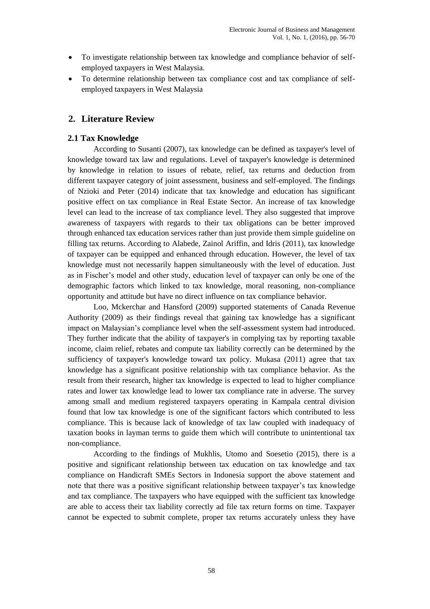- To investigate relationship between tax knowledge and compliance behavior of selfemployed taxpayers in West Malaysia.
- To determine relationship between tax compliance cost and tax compliance of selfemployed taxpayers in West Malaysia

### **2. Literature Review**

#### **2.1 Tax Knowledge**

According to Susanti (2007), tax knowledge can be defined as taxpayer's level of knowledge toward tax law and regulations. Level of taxpayer's knowledge is determined by knowledge in relation to issues of rebate, relief, tax returns and deduction from different taxpayer category of joint assessment, business and self-employed. The findings of Nzioki and Peter (2014) indicate that tax knowledge and education has significant positive effect on tax compliance in Real Estate Sector. An increase of tax knowledge level can lead to the increase of tax compliance level. They also suggested that improve awareness of taxpayers with regards to their tax obligations can be better improved through enhanced tax education services rather than just provide them simple guideline on filling tax returns. According to Alabede, Zainol Ariffin, and Idris (2011), tax knowledge of taxpayer can be equipped and enhanced through education. However, the level of tax knowledge must not necessarily happen simultaneously with the level of education. Just as in Fischer's model and other study, education level of taxpayer can only be one of the demographic factors which linked to tax knowledge, moral reasoning, non-compliance opportunity and attitude but have no direct influence on tax compliance behavior.

Loo, Mckerchar and Hansford (2009) supported statements of Canada Revenue Authority (2009) as their findings reveal that gaining tax knowledge has a significant impact on Malaysian's compliance level when the self-assessment system had introduced. They further indicate that the ability of taxpayer's in complying tax by reporting taxable income, claim relief, rebates and compute tax liability correctly can be determined by the sufficiency of taxpayer's knowledge toward tax policy. Mukasa (2011) agree that tax knowledge has a significant positive relationship with tax compliance behavior. As the result from their research, higher tax knowledge is expected to lead to higher compliance rates and lower tax knowledge lead to lower tax compliance rate in adverse. The survey among small and medium registered taxpayers operating in Kampala central division found that low tax knowledge is one of the significant factors which contributed to less compliance. This is because lack of knowledge of tax law coupled with inadequacy of taxation books in layman terms to guide them which will contribute to unintentional tax non-compliance.

According to the findings of Mukhlis, Utomo and Soesetio (2015), there is a positive and significant relationship between tax education on tax knowledge and tax compliance on Handicraft SMEs Sectors in Indonesia support the above statement and note that there was a positive significant relationship between taxpayer's tax knowledge and tax compliance. The taxpayers who have equipped with the sufficient tax knowledge are able to access their tax liability correctly ad file tax return forms on time. Taxpayer cannot be expected to submit complete, proper tax returns accurately unless they have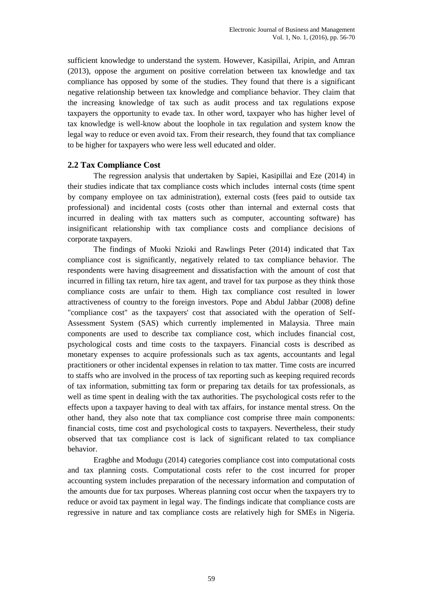sufficient knowledge to understand the system. However, Kasipillai, Aripin, and Amran (2013), oppose the argument on positive correlation between tax knowledge and tax compliance has opposed by some of the studies. They found that there is a significant negative relationship between tax knowledge and compliance behavior. They claim that the increasing knowledge of tax such as audit process and tax regulations expose taxpayers the opportunity to evade tax. In other word, taxpayer who has higher level of tax knowledge is well-know about the loophole in tax regulation and system know the legal way to reduce or even avoid tax. From their research, they found that tax compliance to be higher for taxpayers who were less well educated and older.

### **2.2 Tax Compliance Cost**

The regression analysis that undertaken by Sapiei, Kasipillai and Eze (2014) in their studies indicate that tax compliance costs which includes internal costs (time spent by company employee on tax administration), external costs (fees paid to outside tax professional) and incidental costs (costs other than internal and external costs that incurred in dealing with tax matters such as computer, accounting software) has insignificant relationship with tax compliance costs and compliance decisions of corporate taxpayers.

The findings of Muoki Nzioki and Rawlings Peter (2014) indicated that Tax compliance cost is significantly, negatively related to tax compliance behavior. The respondents were having disagreement and dissatisfaction with the amount of cost that incurred in filling tax return, hire tax agent, and travel for tax purpose as they think those compliance costs are unfair to them. High tax compliance cost resulted in lower attractiveness of country to the foreign investors. Pope and Abdul Jabbar (2008) define "compliance cost" as the taxpayers' cost that associated with the operation of Self-Assessment System (SAS) which currently implemented in Malaysia. Three main components are used to describe tax compliance cost, which includes financial cost, psychological costs and time costs to the taxpayers. Financial costs is described as monetary expenses to acquire professionals such as tax agents, accountants and legal practitioners or other incidental expenses in relation to tax matter. Time costs are incurred to staffs who are involved in the process of tax reporting such as keeping required records of tax information, submitting tax form or preparing tax details for tax professionals, as well as time spent in dealing with the tax authorities. The psychological costs refer to the effects upon a taxpayer having to deal with tax affairs, for instance mental stress. On the other hand, they also note that tax compliance cost comprise three main components: financial costs, time cost and psychological costs to taxpayers. Nevertheless, their study observed that tax compliance cost is lack of significant related to tax compliance behavior.

Eragbhe and Modugu (2014) categories compliance cost into computational costs and tax planning costs. Computational costs refer to the cost incurred for proper accounting system includes preparation of the necessary information and computation of the amounts due for tax purposes. Whereas planning cost occur when the taxpayers try to reduce or avoid tax payment in legal way. The findings indicate that compliance costs are regressive in nature and tax compliance costs are relatively high for SMEs in Nigeria.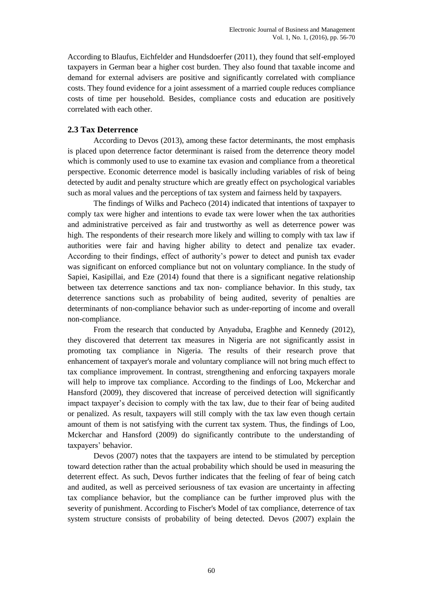According to Blaufus, Eichfelder and Hundsdoerfer (2011), they found that self-employed taxpayers in German bear a higher cost burden. They also found that taxable income and demand for external advisers are positive and significantly correlated with compliance costs. They found evidence for a joint assessment of a married couple reduces compliance costs of time per household. Besides, compliance costs and education are positively correlated with each other.

### **2.3 Tax Deterrence**

According to Devos (2013), among these factor determinants, the most emphasis is placed upon deterrence factor determinant is raised from the deterrence theory model which is commonly used to use to examine tax evasion and compliance from a theoretical perspective. Economic deterrence model is basically including variables of risk of being detected by audit and penalty structure which are greatly effect on psychological variables such as moral values and the perceptions of tax system and fairness held by taxpayers.

The findings of Wilks and Pacheco (2014) indicated that intentions of taxpayer to comply tax were higher and intentions to evade tax were lower when the tax authorities and administrative perceived as fair and trustworthy as well as deterrence power was high. The respondents of their research more likely and willing to comply with tax law if authorities were fair and having higher ability to detect and penalize tax evader. According to their findings, effect of authority's power to detect and punish tax evader was significant on enforced compliance but not on voluntary compliance. In the study of Sapiei, Kasipillai, and Eze (2014) found that there is a significant negative relationship between tax deterrence sanctions and tax non- compliance behavior. In this study, tax deterrence sanctions such as probability of being audited, severity of penalties are determinants of non-compliance behavior such as under-reporting of income and overall non-compliance.

From the research that conducted by Anyaduba, Eragbhe and Kennedy (2012), they discovered that deterrent tax measures in Nigeria are not significantly assist in promoting tax compliance in Nigeria. The results of their research prove that enhancement of taxpayer's morale and voluntary compliance will not bring much effect to tax compliance improvement. In contrast, strengthening and enforcing taxpayers morale will help to improve tax compliance. According to the findings of Loo, Mckerchar and Hansford (2009), they discovered that increase of perceived detection will significantly impact taxpayer's decision to comply with the tax law, due to their fear of being audited or penalized. As result, taxpayers will still comply with the tax law even though certain amount of them is not satisfying with the current tax system. Thus, the findings of Loo, Mckerchar and Hansford (2009) do significantly contribute to the understanding of taxpayers' behavior.

Devos (2007) notes that the taxpayers are intend to be stimulated by perception toward detection rather than the actual probability which should be used in measuring the deterrent effect. As such, Devos further indicates that the feeling of fear of being catch and audited, as well as perceived seriousness of tax evasion are uncertainty in affecting tax compliance behavior, but the compliance can be further improved plus with the severity of punishment. According to Fischer's Model of tax compliance, deterrence of tax system structure consists of probability of being detected. Devos (2007) explain the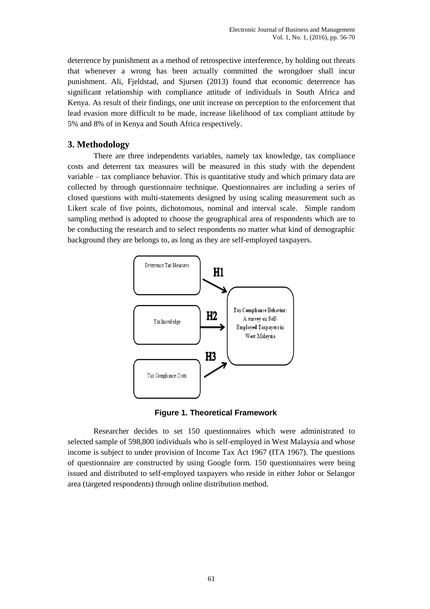deterrence by punishment as a method of retrospective interference, by holding out threats that whenever a wrong has been actually committed the wrongdoer shall incur punishment. Ali, Fjeldstad, and Sjursen (2013) found that economic deterrence has significant relationship with compliance attitude of individuals in South Africa and Kenya. As result of their findings, one unit increase on perception to the enforcement that lead evasion more difficult to be made, increase likelihood of tax compliant attitude by 5% and 8% of in Kenya and South Africa respectively.

## **3. Methodology**

There are three independents variables, namely tax knowledge, tax compliance costs and deterrent tax measures will be measured in this study with the dependent variable – tax compliance behavior. This is quantitative study and which primary data are collected by through questionnaire technique. Questionnaires are including a series of closed questions with multi-statements designed by using scaling measurement such as Likert scale of five points, dichotomous, nominal and interval scale. Simple random sampling method is adopted to choose the geographical area of respondents which are to be conducting the research and to select respondents no matter what kind of demographic background they are belongs to, as long as they are self-employed taxpayers.



**Figure 1. Theoretical Framework**

Researcher decides to set 150 questionnaires which were administrated to selected sample of 598,800 individuals who is self-employed in West Malaysia and whose income is subject to under provision of Income Tax Act 1967 (ITA 1967). The questions of questionnaire are constructed by using Google form. 150 questionnaires were being issued and distributed to self-employed taxpayers who reside in either Johor or Selangor area (targeted respondents) through online distribution method.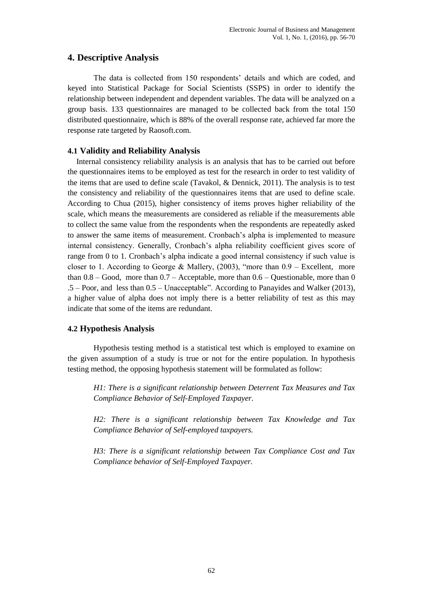## **4. Descriptive Analysis**

The data is collected from 150 respondents' details and which are coded, and keyed into Statistical Package for Social Scientists (SSPS) in order to identify the relationship between independent and dependent variables. The data will be analyzed on a group basis. 133 questionnaires are managed to be collected back from the total 150 distributed questionnaire, which is 88% of the overall response rate, achieved far more the response rate targeted by Raosoft.com.

### **4.1 Validity and Reliability Analysis**

Internal consistency reliability analysis is an analysis that has to be carried out before the questionnaires items to be employed as test for the research in order to test validity of the items that are used to define scale (Tavakol, & Dennick, 2011). The analysis is to test the consistency and reliability of the questionnaires items that are used to define scale. According to Chua (2015), higher consistency of items proves higher reliability of the scale, which means the measurements are considered as reliable if the measurements able to collect the same value from the respondents when the respondents are repeatedly asked to answer the same items of measurement. Cronbach's alpha is implemented to measure internal consistency. Generally, Cronbach's alpha reliability coefficient gives score of range from 0 to 1. Cronbach's alpha indicate a good internal consistency if such value is closer to 1. According to George & Mallery,  $(2003)$ , "more than  $0.9$  – Excellent, more than  $0.8 - Good$ , more than  $0.7 - Acceptable$ , more than  $0.6 - Questionable$ , more than 0  $.5 -$  Poor, and less than  $0.5 -$  Unacceptable". According to [Panayides and Walker \(2013\),](http://ejop.psychopen.eu/article/view/653/html#r14) a higher value of alpha does not imply there is a better reliability of test as this may indicate that some of the items are redundant.

## **4.2 Hypothesis Analysis**

Hypothesis testing method is a statistical test which is employed to examine on the given assumption of a study is true or not for the entire population. In hypothesis testing method, the opposing hypothesis statement will be formulated as follow:

*H1: There is a significant relationship between Deterrent Tax Measures and Tax Compliance Behavior of Self-Employed Taxpayer.*

*H2: There is a significant relationship between Tax Knowledge and Tax Compliance Behavior of Self-employed taxpayers.*

*H3: There is a significant relationship between Tax Compliance Cost and Tax Compliance behavior of Self-Employed Taxpayer.*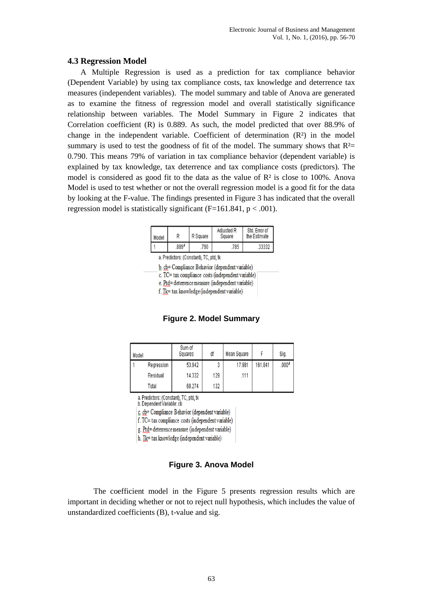#### **4.3 Regression Model**

A Multiple Regression is used as a prediction for tax compliance behavior (Dependent Variable) by using tax compliance costs, tax knowledge and deterrence tax measures (independent variables). The model summary and table of Anova are generated as to examine the fitness of regression model and overall statistically significance relationship between variables. The Model Summary in Figure 2 indicates that Correlation coefficient (R) is 0.889. As such, the model predicted that over 88.9% of change in the independent variable. Coefficient of determination  $(R<sup>2</sup>)$  in the model summary is used to test the goodness of fit of the model. The summary shows that  $R<sup>2</sup>$ 0.790. This means 79% of variation in tax compliance behavior (dependent variable) is explained by tax knowledge, tax deterrence and tax compliance costs (predictors). The model is considered as good fit to the data as the value of R² is close to 100%. Anova Model is used to test whether or not the overall regression model is a good fit for the data by looking at the F-value. The findings presented in Figure 3 has indicated that the overall regression model is statistically significant  $(F=161.841, p < .001)$ .

| Model | R Square |     | Adiusted R<br>Square | Std. Error of<br>the Estimate |  |
|-------|----------|-----|----------------------|-------------------------------|--|
|       | 889ª     | 790 | 785                  | 33332                         |  |

a. Predictors: (Constant), TC, ptd, tk

b. cb= Compliance Behavior (dependent variable)

c. TC= tax compliance costs (independent variable)

e. Ptd= deterrence measure (independent variable)

f. Tk= tax knowledge (independent variable)

#### **Figure 2. Model Summary**

| Model |            | Sum of<br>Squares | df  | Mean Square |         | Sig.  |
|-------|------------|-------------------|-----|-------------|---------|-------|
|       | Regression | 53.942            | 3   | 17.981      | 161.841 | .000ª |
|       | Residual   | 14.332            | 129 | .111        |         |       |
|       | Total      | 68.274            | 132 |             |         |       |

a. Predictors: (Constant), TC, ptd, tk

b. Dependent Variable: cb

c. cb= Compliance Behavior (dependent variable)

f. TC= tax compliance costs (independent variable)

g. Ptd= deterrence measure (independent variable)

h. Tk= tax knowledge (independent variable)

#### **Figure 3. Anova Model**

The coefficient model in the Figure 5 presents regression results which are important in deciding whether or not to reject null hypothesis, which includes the value of unstandardized coefficients (B), t-value and sig.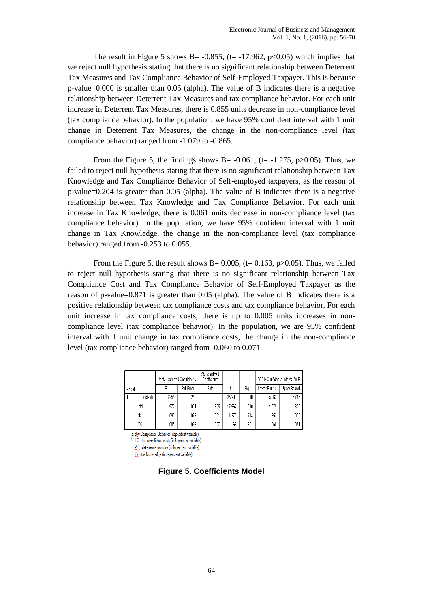The result in Figure 5 shows B= -0.855, ( $t = -17.962$ , p $<0.05$ ) which implies that we reject null hypothesis stating that there is no significant relationship between Deterrent Tax Measures and Tax Compliance Behavior of Self-Employed Taxpayer. This is because p-value=0.000 is smaller than 0.05 (alpha). The value of B indicates there is a negative relationship between Deterrent Tax Measures and tax compliance behavior. For each unit increase in Deterrent Tax Measures, there is 0.855 units decrease in non-compliance level (tax compliance behavior). In the population, we have 95% confident interval with 1 unit change in Deterrent Tax Measures, the change in the non-compliance level (tax compliance behavior) ranged from -1.079 to -0.865.

From the Figure 5, the findings shows B =  $-0.061$ , (t =  $-1.275$ , p $>0.05$ ). Thus, we failed to reject null hypothesis stating that there is no significant relationship between Tax Knowledge and Tax Compliance Behavior of Self-employed taxpayers, as the reason of p-value=0.204 is greater than 0.05 (alpha). The value of B indicates there is a negative relationship between Tax Knowledge and Tax Compliance Behavior. For each unit increase in Tax Knowledge, there is 0.061 units decrease in non-compliance level (tax compliance behavior). In the population, we have 95% confident interval with 1 unit change in Tax Knowledge, the change in the non-compliance level (tax compliance behavior) ranged from -0.253 to 0.055.

From the Figure 5, the result shows B=  $0.005$ , (t= 0.163, p>0.05). Thus, we failed to reject null hypothesis stating that there is no significant relationship between Tax Compliance Cost and Tax Compliance Behavior of Self-Employed Taxpayer as the reason of p-value=0.871 is greater than 0.05 (alpha). The value of B indicates there is a positive relationship between tax compliance costs and tax compliance behavior. For each unit increase in tax compliance costs, there is up to 0.005 units increases in noncompliance level (tax compliance behavior). In the population, we are 95% confident interval with 1 unit change in tax compliance costs, the change in the non-compliance level (tax compliance behavior) ranged from -0.060 to 0.071.

|       | Unstandardized Coefficients |        | Standardized<br>Coefficients |        |           | 95.0% Confidence Interval for B |             |                    |
|-------|-----------------------------|--------|------------------------------|--------|-----------|---------------------------------|-------------|--------------------|
| Model |                             | B      | Std. Error                   | Beta   |           | Sig.                            | Lower Bound | <b>Upper Bound</b> |
|       | (Constant)                  | 6.254  | 248                          |        | 25.200    | .000                            | 5.763       | 6.745              |
|       | ptd                         | $-972$ | .054                         | $-855$ | $-17.962$ | .000                            | $-1.079$    | $-865$             |
|       | tk                          | $-099$ | .078                         | $-061$ | $-1.275$  | .204                            | $-253$      | .055               |
|       | ТC                          | .005   | .033                         | .007   | .163      | .871                            | $-060$      | .071               |

a ch= Compliance Behavior (dependent variable)

b. TC= tax compliance costs (independent variable)

c. Ptd= deterrence measure (independent variable)

d. Tk= tax knowledge (independent variable)

**Figure 5. Coefficients Model**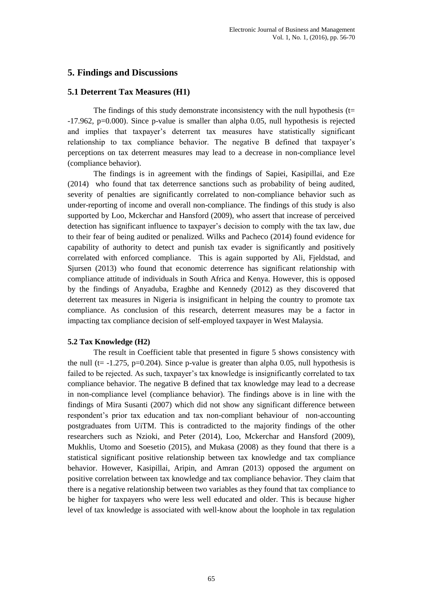### **5. Findings and Discussions**

#### **5.1 Deterrent Tax Measures (H1)**

The findings of this study demonstrate inconsistency with the null hypothesis ( $t=$ -17.962, p=0.000). Since p-value is smaller than alpha 0.05, null hypothesis is rejected and implies that taxpayer's deterrent tax measures have statistically significant relationship to tax compliance behavior. The negative B defined that taxpayer's perceptions on tax deterrent measures may lead to a decrease in non-compliance level (compliance behavior).

The findings is in agreement with the findings of Sapiei, Kasipillai, and Eze (2014) who found that tax deterrence sanctions such as probability of being audited, severity of penalties are significantly correlated to non-compliance behavior such as under-reporting of income and overall non-compliance. The findings of this study is also supported by Loo, Mckerchar and Hansford (2009), who assert that increase of perceived detection has significant influence to taxpayer's decision to comply with the tax law, due to their fear of being audited or penalized. Wilks and Pacheco (2014) found evidence for capability of authority to detect and punish tax evader is significantly and positively correlated with enforced compliance. This is again supported by Ali, Fjeldstad, and Sjursen (2013) who found that economic deterrence has significant relationship with compliance attitude of individuals in South Africa and Kenya. However, this is opposed by the findings of Anyaduba, Eragbhe and Kennedy (2012) as they discovered that deterrent tax measures in Nigeria is insignificant in helping the country to promote tax compliance. As conclusion of this research, deterrent measures may be a factor in impacting tax compliance decision of self-employed taxpayer in West Malaysia.

#### **5.2 Tax Knowledge (H2)**

The result in Coefficient table that presented in figure 5 shows consistency with the null (t=  $-1.275$ , p=0.204). Since p-value is greater than alpha 0.05, null hypothesis is failed to be rejected. As such, taxpayer's tax knowledge is insignificantly correlated to tax compliance behavior. The negative B defined that tax knowledge may lead to a decrease in non-compliance level (compliance behavior). The findings above is in line with the findings of Mira Susanti (2007) which did not show any significant difference between respondent's prior tax education and tax non-compliant behaviour of non-accounting postgraduates from UiTM. This is contradicted to the majority findings of the other researchers such as Nzioki, and Peter (2014), Loo, Mckerchar and Hansford (2009), Mukhlis, Utomo and Soesetio (2015), and Mukasa (2008) as they found that there is a statistical significant positive relationship between tax knowledge and tax compliance behavior. However, Kasipillai, Aripin, and Amran (2013) opposed the argument on positive correlation between tax knowledge and tax compliance behavior. They claim that there is a negative relationship between two variables as they found that tax compliance to be higher for taxpayers who were less well educated and older. This is because higher level of tax knowledge is associated with well-know about the loophole in tax regulation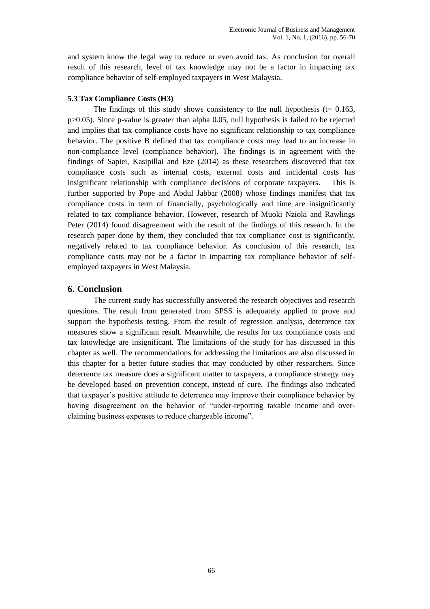and system know the legal way to reduce or even avoid tax. As conclusion for overall result of this research, level of tax knowledge may not be a factor in impacting tax compliance behavior of self-employed taxpayers in West Malaysia.

#### **5.3 Tax Compliance Costs (H3)**

The findings of this study shows consistency to the null hypothesis ( $t= 0.163$ , p>0.05). Since p-value is greater than alpha 0.05, null hypothesis is failed to be rejected and implies that tax compliance costs have no significant relationship to tax compliance behavior. The positive B defined that tax compliance costs may lead to an increase in non-compliance level (compliance behavior). The findings is in agreement with the findings of Sapiei, Kasipillai and Eze (2014) as these researchers discovered that tax compliance costs such as internal costs, external costs and incidental costs has insignificant relationship with compliance decisions of corporate taxpayers. This is further supported by Pope and Abdul Jabbar (2008) whose findings manifest that tax compliance costs in term of financially, psychologically and time are insignificantly related to tax compliance behavior. However, research of Muoki Nzioki and Rawlings Peter (2014) found disagreement with the result of the findings of this research. In the research paper done by them, they concluded that tax compliance cost is significantly, negatively related to tax compliance behavior. As conclusion of this research, tax compliance costs may not be a factor in impacting tax compliance behavior of selfemployed taxpayers in West Malaysia.

### **6. Conclusion**

The current study has successfully answered the research objectives and research questions. The result from generated from SPSS is adequately applied to prove and support the hypothesis testing. From the result of regression analysis, deterrence tax measures show a significant result. Meanwhile, the results for tax compliance costs and tax knowledge are insignificant. The limitations of the study for has discussed in this chapter as well. The recommendations for addressing the limitations are also discussed in this chapter for a better future studies that may conducted by other researchers. Since deterrence tax measure does a significant matter to taxpayers, a compliance strategy may be developed based on prevention concept, instead of cure. The findings also indicated that taxpayer's positive attitude to deterrence may improve their compliance behavior by having disagreement on the behavior of "under-reporting taxable income and overclaiming business expenses to reduce chargeable income".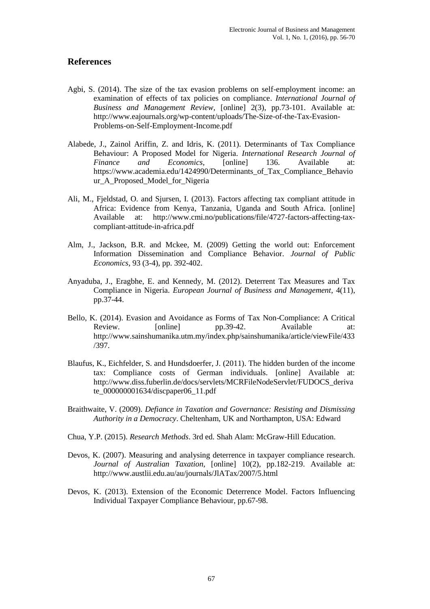### **References**

- Agbi, S. (2014). The size of the tax evasion problems on self-employment income: an examination of effects of tax policies on compliance. *International Journal of Business and Management Review*, [online] 2(3), pp.73-101. Available at: http://www.eajournals.org/wp-content/uploads/The-Size-of-the-Tax-Evasion-Problems-on-Self-Employment-Income.pdf
- Alabede, J., Zainol Ariffin, Z. and Idris, K. (2011). Determinants of Tax Compliance Behaviour: A Proposed Model for Nigeria. *International Research Journal of Finance and Economics*, [online] 136. Available at: https://www.academia.edu/1424990/Determinants\_of\_Tax\_Compliance\_Behavio ur\_A\_Proposed\_Model\_for\_Nigeria
- Ali, M., Fjeldstad, O. and Sjursen, I. (2013). Factors affecting tax compliant attitude in Africa: Evidence from Kenya, Tanzania, Uganda and South Africa. [online] Available at: http://www.cmi.no/publications/file/4727-factors-affecting-taxcompliant-attitude-in-africa.pdf
- Alm, J., Jackson, B.R. and Mckee, M. (2009) Getting the world out: Enforcement Information Dissemination and Compliance Behavior. *Journal of Public Economics*, 93 (3-4), pp. 392-402.
- Anyaduba, J., Eragbhe, E. and Kennedy, M. (2012). Deterrent Tax Measures and Tax Compliance in Nigeria. *European Journal of Business and Management*, 4(11), pp.37-44.
- Bello, K. (2014). Evasion and Avoidance as Forms of Tax Non-Compliance: A Critical Review. [online] pp.39-42. Available at: http://www.sainshumanika.utm.my/index.php/sainshumanika/article/viewFile/433 /397.
- Blaufus, K., Eichfelder, S. and Hundsdoerfer, J. (2011). The hidden burden of the income tax: Compliance costs of German individuals. [online] Available at: http://www.diss.fuberlin.de/docs/servlets/MCRFileNodeServlet/FUDOCS\_deriva te\_000000001634/discpaper06\_11.pdf
- Braithwaite, V. (2009). *Defiance in Taxation and Governance: Resisting and Dismissing Authority in a Democracy*. Cheltenham, UK and Northampton, USA: Edward
- Chua, Y.P. (2015). *Research Methods*. 3rd ed. Shah Alam: McGraw-Hill Education.
- Devos, K. (2007). Measuring and analysing deterrence in taxpayer compliance research. *Journal of Australian Taxation*, [online] 10(2), pp.182-219. Available at: http://www.austlii.edu.au/au/journals/JlATax/2007/5.html
- Devos, K. (2013). Extension of the Economic Deterrence Model. Factors Influencing Individual Taxpayer Compliance Behaviour, pp.67-98.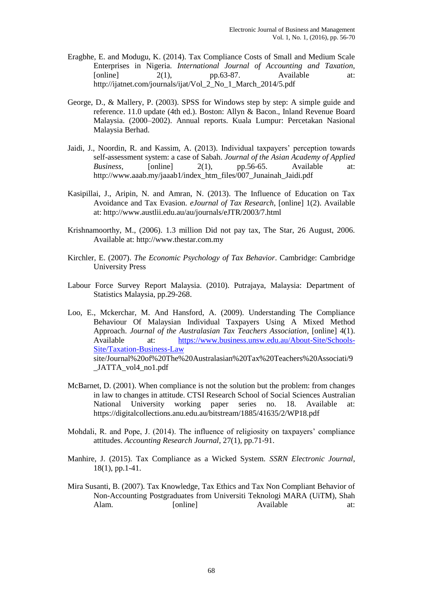- Eragbhe, E. and Modugu, K. (2014). Tax Compliance Costs of Small and Medium Scale Enterprises in Nigeria. *International Journal of Accounting and Taxation*, [online]  $2(1)$ , pp.63-87. Available at: http://ijatnet.com/journals/ijat/Vol\_2\_No\_1\_March\_2014/5.pdf
- George, D., & Mallery, P. (2003). SPSS for Windows step by step: A simple guide and reference. 11.0 update (4th ed.). Boston: Allyn & Bacon., Inland Revenue Board Malaysia. (2000–2002). Annual reports. Kuala Lumpur: Percetakan Nasional Malaysia Berhad.
- Jaidi, J., Noordin, R. and Kassim, A. (2013). Individual taxpayers' perception towards self-assessment system: a case of Sabah. *Journal of the Asian Academy of Applied Business*, [online] 2(1), pp.56-65. Available at: http://www.aaab.my/jaaab1/index\_htm\_files/007\_Junainah\_Jaidi.pdf
- Kasipillai, J., Aripin, N. and Amran, N. (2013). The Influence of Education on Tax Avoidance and Tax Evasion. *eJournal of Tax Research*, [online] 1(2). Available at: http://www.austlii.edu.au/au/journals/eJTR/2003/7.html
- Krishnamoorthy, M., (2006). 1.3 million Did not pay tax, The Star, 26 August, 2006. Available at: http://www.thestar.com.my
- Kirchler, E. (2007). *The Economic Psychology of Tax Behavior*. Cambridge: Cambridge University Press
- Labour Force Survey Report Malaysia. (2010). Putrajaya, Malaysia: Department of Statistics Malaysia, pp.29-268.
- Loo, E., Mckerchar, M. And Hansford, A. (2009). Understanding The Compliance Behaviour Of Malaysian Individual Taxpayers Using A Mixed Method Approach. *Journal of the Australasian Tax Teachers Association*, [online] 4(1). Available at: [https://www.business.unsw.edu.au/About-Site/Schools-](https://www.business.unsw.edu.au/About-Site/Schools-Site/Taxation-Business-Law)[Site/Taxation-Business-Law](https://www.business.unsw.edu.au/About-Site/Schools-Site/Taxation-Business-Law) site/Journal%20of%20The%20Australasian%20Tax%20Teachers%20Associati/9 \_JATTA\_vol4\_no1.pdf
- McBarnet, D. (2001). When compliance is not the solution but the problem: from changes in law to changes in attitude. CTSI Research School of Social Sciences Australian National University working paper series no. 18. Available at: https://digitalcollections.anu.edu.au/bitstream/1885/41635/2/WP18.pdf
- Mohdali, R. and Pope, J. (2014). The influence of religiosity on taxpayers' compliance attitudes. *Accounting Research Journal*, 27(1), pp.71-91.
- Manhire, J. (2015). Tax Compliance as a Wicked System. *SSRN Electronic Journal*, 18(1), pp.1-41.
- Mira Susanti, B. (2007). Tax Knowledge, Tax Ethics and Tax Non Compliant Behavior of Non-Accounting Postgraduates from Universiti Teknologi MARA (UiTM), Shah Alam. [online] Available at: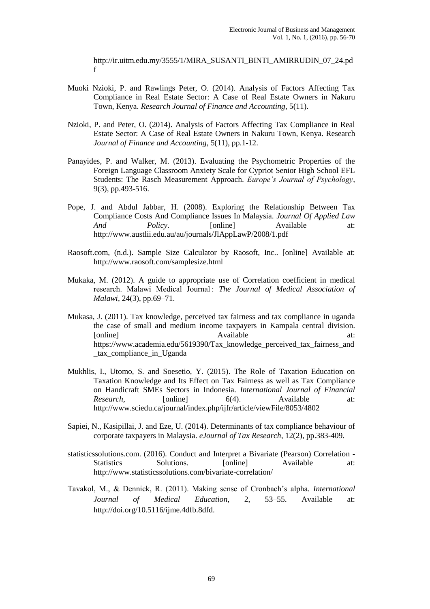http://ir.uitm.edu.my/3555/1/MIRA\_SUSANTI\_BINTI\_AMIRRUDIN\_07\_24.pd f

- Muoki Nzioki, P. and Rawlings Peter, O. (2014). Analysis of Factors Affecting Tax Compliance in Real Estate Sector: A Case of Real Estate Owners in Nakuru Town, Kenya. *Research Journal of Finance and Accounting*, 5(11).
- Nzioki, P. and Peter, O. (2014). Analysis of Factors Affecting Tax Compliance in Real Estate Sector: A Case of Real Estate Owners in Nakuru Town, Kenya. Research *Journal of Finance and Accounting*, 5(11), pp.1-12.
- Panayides, P. and Walker, M. (2013). Evaluating the Psychometric Properties of the Foreign Language Classroom Anxiety Scale for Cypriot Senior High School EFL Students: The Rasch Measurement Approach. *Europe's Journal of Psychology*, 9(3), pp.493-516.
- Pope, J. and Abdul Jabbar, H. (2008). Exploring the Relationship Between Tax Compliance Costs And Compliance Issues In Malaysia. *Journal Of Applied Law And Policy*. [online] Available at: http://www.austlii.edu.au/au/journals/JlAppLawP/2008/1.pdf
- Raosoft.com, (n.d.). Sample Size Calculator by Raosoft, Inc.. [online] Available at: http://www.raosoft.com/samplesize.html
- Mukaka, M. (2012). A guide to appropriate use of Correlation coefficient in medical research. Malawi Medical Journal : *The Journal of Medical Association of Malawi*, 24(3), pp.69–71.
- Mukasa, J. (2011). Tax knowledge, perceived tax fairness and tax compliance in uganda the case of small and medium income taxpayers in Kampala central division. [online] Available at: Available https://www.academia.edu/5619390/Tax\_knowledge\_perceived\_tax\_fairness\_and \_tax\_compliance\_in\_Uganda
- Mukhlis, I., Utomo, S. and Soesetio, Y. (2015). The Role of Taxation Education on Taxation Knowledge and Its Effect on Tax Fairness as well as Tax Compliance on Handicraft SMEs Sectors in Indonesia. *International Journal of Financial Research*, [online] 6(4). Available at: http://www.sciedu.ca/journal/index.php/ijfr/article/viewFile/8053/4802
- Sapiei, N., Kasipillai, J. and Eze, U. (2014). Determinants of tax compliance behaviour of corporate taxpayers in Malaysia. *eJournal of Tax Research*, 12(2), pp.383-409.
- statisticssolutions.com. (2016). Conduct and Interpret a Bivariate (Pearson) Correlation Statistics Solutions. [online] Available at: http://www.statisticssolutions.com/bivariate-correlation/
- Tavakol, M., & Dennick, R. (2011). Making sense of Cronbach's alpha*. International Journal of Medical Education*, 2, 53–55. Available at: http://doi.org/10.5116/ijme.4dfb.8dfd.